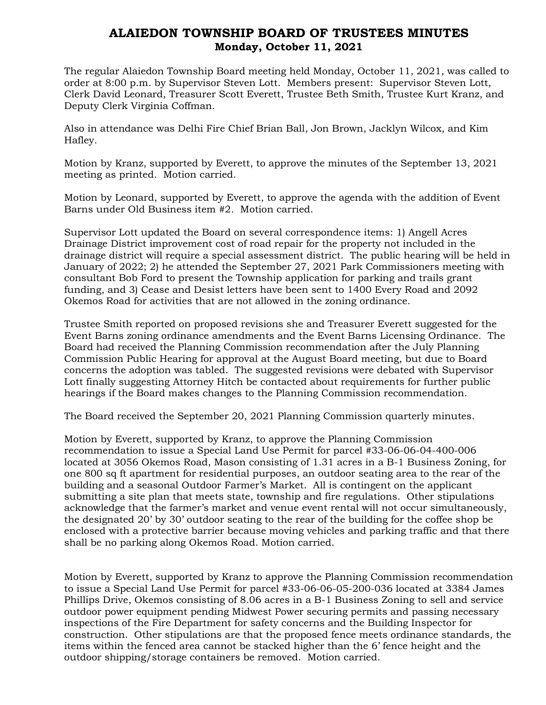## ALAIEDON TOWNSHIP BOARD OF TRUSTEES MINUTES Monday, October 11, 2021

The regular Alaiedon Township Board meeting held Monday, October 11, 2021, was called to order at 8:00 p.m. by Supervisor Steven Lott. Members present: Supervisor Steven Lott, Clerk David Leonard, Treasurer Scott Everett, Trustee Beth Smith, Trustee Kurt Kranz, and Deputy Clerk Virginia Coffman.

Also in attendance was Delhi Fire Chief Brian Ball, Jon Brown, Jacklyn Wilcox, and Kim Hafley.

Motion by Kranz, supported by Everett, to approve the minutes of the September 13, 2021 meeting as printed. Motion carried.

Motion by Leonard, supported by Everett, to approve the agenda with the addition of Event Barns under Old Business item #2. Motion carried.

Supervisor Lott updated the Board on several correspondence items: 1) Angell Acres Drainage District improvement cost of road repair for the property not included in the drainage district will require a special assessment district. The public hearing will be held in January of 2022; 2) he attended the September 27, 2021 Park Commissioners meeting with consultant Bob Ford to present the Township application for parking and trails grant funding, and 3) Cease and Desist letters have been sent to 1400 Every Road and 2092 Okemos Road for activities that are not allowed in the zoning ordinance.

Trustee Smith reported on proposed revisions she and Treasurer Everett suggested for the Event Barns zoning ordinance amendments and the Event Barns Licensing Ordinance. The Board had received the Planning Commission recommendation after the July Planning Commission Public Hearing for approval at the August Board meeting, but due to Board concerns the adoption was tabled. The suggested revisions were debated with Supervisor Lott finally suggesting Attorney Hitch be contacted about requirements for further public hearings if the Board makes changes to the Planning Commission recommendation.

The Board received the September 20, 2021 Planning Commission quarterly minutes.

Motion by Everett, supported by Kranz, to approve the Planning Commission recommendation to issue a Special Land Use Permit for parcel #33-06-06-04-400-006 located at 3056 Okemos Road, Mason consisting of 1.31 acres in a B-1 Business Zoning, for one 800 sq ft apartment for residential purposes, an outdoor seating area to the rear of the building and a seasonal Outdoor Farmer's Market. All is contingent on the applicant submitting a site plan that meets state, township and fire regulations. Other stipulations acknowledge that the farmer's market and venue event rental will not occur simultaneously, the designated 20' by 30' outdoor seating to the rear of the building for the coffee shop be enclosed with a protective barrier because moving vehicles and parking traffic and that there shall be no parking along Okemos Road. Motion carried.

Motion by Everett, supported by Kranz to approve the Planning Commission recommendation to issue a Special Land Use Permit for parcel #33-06-06-05-200-036 located at 3384 James Phillips Drive, Okemos consisting of 8.06 acres in a B-1 Business Zoning to sell and service outdoor power equipment pending Midwest Power securing permits and passing necessary inspections of the Fire Department for safety concerns and the Building Inspector for construction. Other stipulations are that the proposed fence meets ordinance standards, the items within the fenced area cannot be stacked higher than the 6' fence height and the outdoor shipping/storage containers be removed. Motion carried.